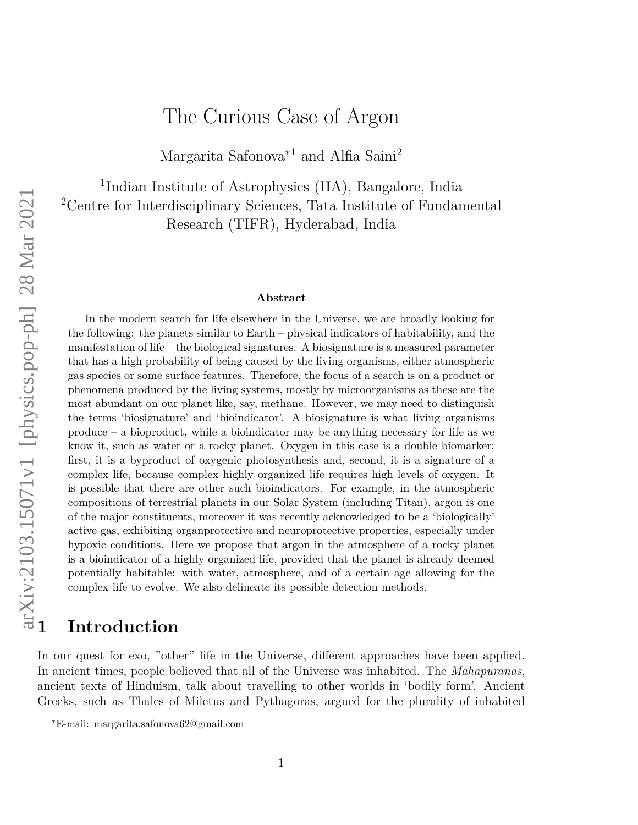# The Curious Case of Argon

Margarita Safonova<sup>\*1</sup> and Alfia Saini<sup>2</sup>

<sup>1</sup>Indian Institute of Astrophysics (IIA), Bangalore, India <sup>2</sup>Centre for Interdisciplinary Sciences, Tata Institute of Fundamental Research (TIFR), Hyderabad, India

#### **Abstract**

In the modern search for life elsewhere in the Universe, we are broadly looking for the following: the planets similar to Earth – physical indicators of habitability, and the manifestation of life – the biological signatures. A biosignature is a measured parameter that has a high probability of being caused by the living organisms, either atmospheric gas species or some surface features. Therefore, the focus of a search is on a product or phenomena produced by the living systems, mostly by microorganisms as these are the most abundant on our planet like, say, methane. However, we may need to distinguish the terms 'biosignature' and 'bioindicator'. A biosignature is what living organisms produce – a bioproduct, while a bioindicator may be anything necessary for life as we know it, such as water or a rocky planet. Oxygen in this case is a double biomarker; first, it is a byproduct of oxygenic photosynthesis and, second, it is a signature of a complex life, because complex highly organized life requires high levels of oxygen. It is possible that there are other such bioindicators. For example, in the atmospheric compositions of terrestrial planets in our Solar System (including Titan), argon is one of the major constituents, moreover it was recently acknowledged to be a 'biologically' active gas, exhibiting organprotective and neuroprotective properties, especially under hypoxic conditions. Here we propose that argon in the atmosphere of a rocky planet is a bioindicator of a highly organized life, provided that the planet is already deemed potentially habitable: with water, atmosphere, and of a certain age allowing for the complex life to evolve. We also delineate its possible detection methods. **1 Introduction**

In our quest for exo, "other" life in the Universe, different approaches have been applied. In ancient times, people believed that all of the Universe was inhabited. The *Mahapuranas*, ancient texts of Hinduism, talk about travelling to other worlds in 'bodily form'. Ancient Greeks, such as Thales of Miletus and Pythagoras, argued for the plurality of inhabited

<sup>∗</sup>E-mail: margarita.safonova62@gmail.com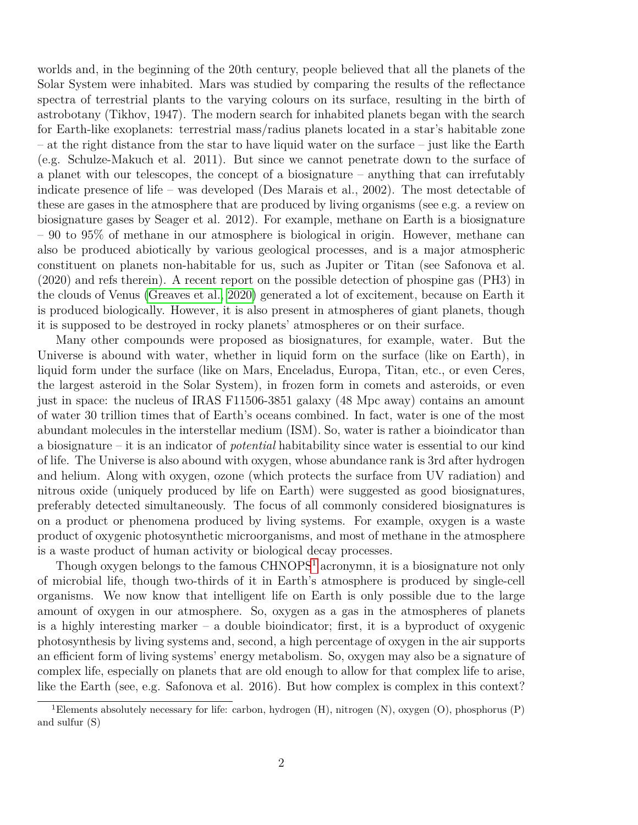worlds and, in the beginning of the 20th century, people believed that all the planets of the Solar System were inhabited. Mars was studied by comparing the results of the reflectance spectra of terrestrial plants to the varying colours on its surface, resulting in the birth of astrobotany (Tikhov, 1947). The modern search for inhabited planets began with the search for Earth-like exoplanets: terrestrial mass/radius planets located in a star's habitable zone – at the right distance from the star to have liquid water on the surface – just like the Earth (e.g. Schulze-Makuch et al. 2011). But since we cannot penetrate down to the surface of a planet with our telescopes, the concept of a biosignature – anything that can irrefutably indicate presence of life – was developed (Des Marais et al., 2002). The most detectable of these are gases in the atmosphere that are produced by living organisms (see e.g. a review on biosignature gases by Seager et al. 2012). For example, methane on Earth is a biosignature – 90 to 95% of methane in our atmosphere is biological in origin. However, methane can also be produced abiotically by various geological processes, and is a major atmospheric constituent on planets non-habitable for us, such as Jupiter or Titan (see Safonova et al. (2020) and refs therein). A recent report on the possible detection of phospine gas (PH3) in the clouds of Venus [\(Greaves et al., 2020\)](#page-6-0) generated a lot of excitement, because on Earth it is produced biologically. However, it is also present in atmospheres of giant planets, though it is supposed to be destroyed in rocky planets' atmospheres or on their surface.

Many other compounds were proposed as biosignatures, for example, water. But the Universe is abound with water, whether in liquid form on the surface (like on Earth), in liquid form under the surface (like on Mars, Enceladus, Europa, Titan, etc., or even Ceres, the largest asteroid in the Solar System), in frozen form in comets and asteroids, or even just in space: the nucleus of IRAS F11506-3851 galaxy (48 Mpc away) contains an amount of water 30 trillion times that of Earth's oceans combined. In fact, water is one of the most abundant molecules in the interstellar medium (ISM). So, water is rather a bioindicator than a biosignature – it is an indicator of *potential* habitability since water is essential to our kind of life. The Universe is also abound with oxygen, whose abundance rank is 3rd after hydrogen and helium. Along with oxygen, ozone (which protects the surface from UV radiation) and nitrous oxide (uniquely produced by life on Earth) were suggested as good biosignatures, preferably detected simultaneously. The focus of all commonly considered biosignatures is on a product or phenomena produced by living systems. For example, oxygen is a waste product of oxygenic photosynthetic microorganisms, and most of methane in the atmosphere is a waste product of human activity or biological decay processes.

Though oxygen belongs to the famous  $CHNOPS<sup>1</sup>$  $CHNOPS<sup>1</sup>$  $CHNOPS<sup>1</sup>$  acronymn, it is a biosignature not only of microbial life, though two-thirds of it in Earth's atmosphere is produced by single-cell organisms. We now know that intelligent life on Earth is only possible due to the large amount of oxygen in our atmosphere. So, oxygen as a gas in the atmospheres of planets is a highly interesting marker – a double bioindicator; first, it is a byproduct of oxygenic photosynthesis by living systems and, second, a high percentage of oxygen in the air supports an efficient form of living systems' energy metabolism. So, oxygen may also be a signature of complex life, especially on planets that are old enough to allow for that complex life to arise, like the Earth (see, e.g. Safonova et al. 2016). But how complex is complex in this context?

<span id="page-1-0"></span><sup>1</sup>Elements absolutely necessary for life: carbon, hydrogen (H), nitrogen (N), oxygen (O), phosphorus (P) and sulfur (S)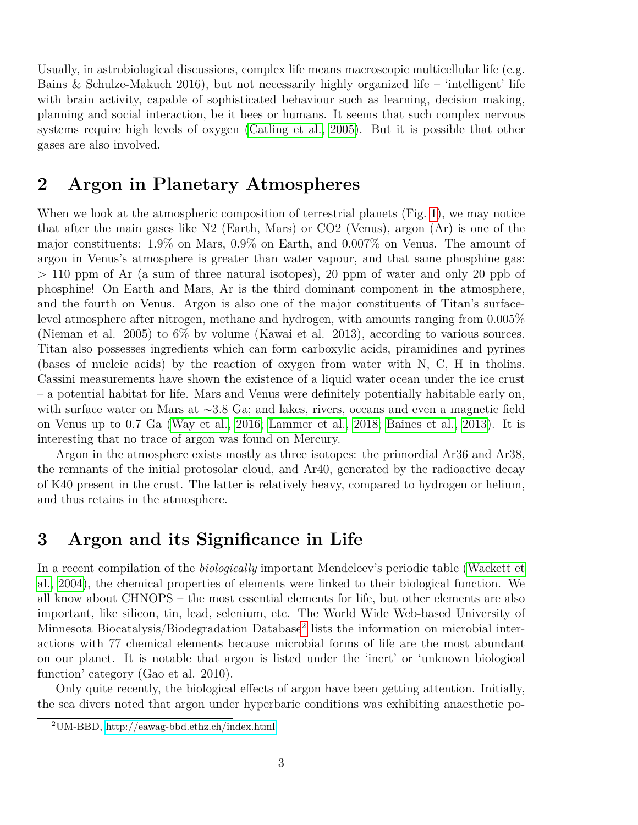Usually, in astrobiological discussions, complex life means macroscopic multicellular life (e.g. Bains & Schulze-Makuch 2016), but not necessarily highly organized life – 'intelligent' life with brain activity, capable of sophisticated behaviour such as learning, decision making, planning and social interaction, be it bees or humans. It seems that such complex nervous systems require high levels of oxygen [\(Catling et al., 2005\)](#page-5-0). But it is possible that other gases are also involved.

## **2 Argon in Planetary Atmospheres**

When we look at the atmospheric composition of terrestrial planets (Fig. [1\)](#page-3-0), we may notice that after the main gases like N2 (Earth, Mars) or CO2 (Venus), argon (Ar) is one of the major constituents: 1.9% on Mars, 0.9% on Earth, and 0.007% on Venus. The amount of argon in Venus's atmosphere is greater than water vapour, and that same phosphine gas:  $> 110$  ppm of Ar (a sum of three natural isotopes), 20 ppm of water and only 20 ppb of phosphine! On Earth and Mars, Ar is the third dominant component in the atmosphere, and the fourth on Venus. Argon is also one of the major constituents of Titan's surfacelevel atmosphere after nitrogen, methane and hydrogen, with amounts ranging from 0.005% (Nieman et al. 2005) to 6% by volume (Kawai et al. 2013), according to various sources. Titan also possesses ingredients which can form carboxylic acids, piramidines and pyrines (bases of nucleic acids) by the reaction of oxygen from water with N, C, H in tholins. Cassini measurements have shown the existence of a liquid water ocean under the ice crust – a potential habitat for life. Mars and Venus were definitely potentially habitable early on, with surface water on Mars at  $\sim$ 3.8 Ga; and lakes, rivers, oceans and even a magnetic field on Venus up to 0.7 Ga [\(Way et al., 2016;](#page-7-0) [Lammer et al., 2018;](#page-6-1) [Baines et al., 2013\)](#page-5-1). It is interesting that no trace of argon was found on Mercury.

Argon in the atmosphere exists mostly as three isotopes: the primordial Ar36 and Ar38, the remnants of the initial protosolar cloud, and Ar40, generated by the radioactive decay of K40 present in the crust. The latter is relatively heavy, compared to hydrogen or helium, and thus retains in the atmosphere.

### **3 Argon and its Significance in Life**

In a recent compilation of the *biologically* important Mendeleev's periodic table [\(Wackett et](#page-7-1) [al., 2004\)](#page-7-1), the chemical properties of elements were linked to their biological function. We all know about CHNOPS – the most essential elements for life, but other elements are also important, like silicon, tin, lead, selenium, etc. The World Wide Web-based University of Minnesota Biocatalysis/Biodegradation Database<sup>[2](#page-2-0)</sup> lists the information on microbial interactions with 77 chemical elements because microbial forms of life are the most abundant on our planet. It is notable that argon is listed under the 'inert' or 'unknown biological function' category (Gao et al. 2010).

Only quite recently, the biological effects of argon have been getting attention. Initially, the sea divers noted that argon under hyperbaric conditions was exhibiting anaesthetic po-

<span id="page-2-0"></span><sup>2</sup>UM-BBD,<http://eawag-bbd.ethz.ch/index.html>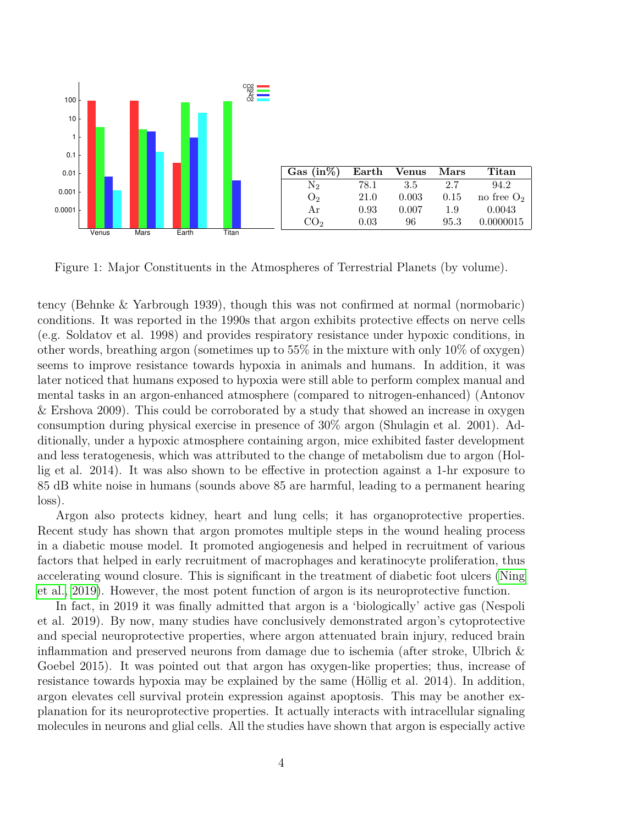<span id="page-3-0"></span>

Figure 1: Major Constituents in the Atmospheres of Terrestrial Planets (by volume).

tency (Behnke & Yarbrough 1939), though this was not confirmed at normal (normobaric) conditions. It was reported in the 1990s that argon exhibits protective effects on nerve cells (e.g. Soldatov et al. 1998) and provides respiratory resistance under hypoxic conditions, in other words, breathing argon (sometimes up to 55% in the mixture with only 10% of oxygen) seems to improve resistance towards hypoxia in animals and humans. In addition, it was later noticed that humans exposed to hypoxia were still able to perform complex manual and mental tasks in an argon-enhanced atmosphere (compared to nitrogen-enhanced) (Antonov & Ershova 2009). This could be corroborated by a study that showed an increase in oxygen consumption during physical exercise in presence of 30% argon (Shulagin et al. 2001). Additionally, under a hypoxic atmosphere containing argon, mice exhibited faster development and less teratogenesis, which was attributed to the change of metabolism due to argon (Hollig et al. 2014). It was also shown to be effective in protection against a 1-hr exposure to 85 dB white noise in humans (sounds above 85 are harmful, leading to a permanent hearing loss).

Argon also protects kidney, heart and lung cells; it has organoprotective properties. Recent study has shown that argon promotes multiple steps in the wound healing process in a diabetic mouse model. It promoted angiogenesis and helped in recruitment of various factors that helped in early recruitment of macrophages and keratinocyte proliferation, thus accelerating wound closure. This is significant in the treatment of diabetic foot ulcers [\(Ning](#page-6-2) [et al., 2019\)](#page-6-2). However, the most potent function of argon is its neuroprotective function.

In fact, in 2019 it was finally admitted that argon is a 'biologically' active gas (Nespoli et al. 2019). By now, many studies have conclusively demonstrated argon's cytoprotective and special neuroprotective properties, where argon attenuated brain injury, reduced brain inflammation and preserved neurons from damage due to ischemia (after stroke, Ulbrich & Goebel 2015). It was pointed out that argon has oxygen-like properties; thus, increase of resistance towards hypoxia may be explained by the same (Höllig et al. 2014). In addition, argon elevates cell survival protein expression against apoptosis. This may be another explanation for its neuroprotective properties. It actually interacts with intracellular signaling molecules in neurons and glial cells. All the studies have shown that argon is especially active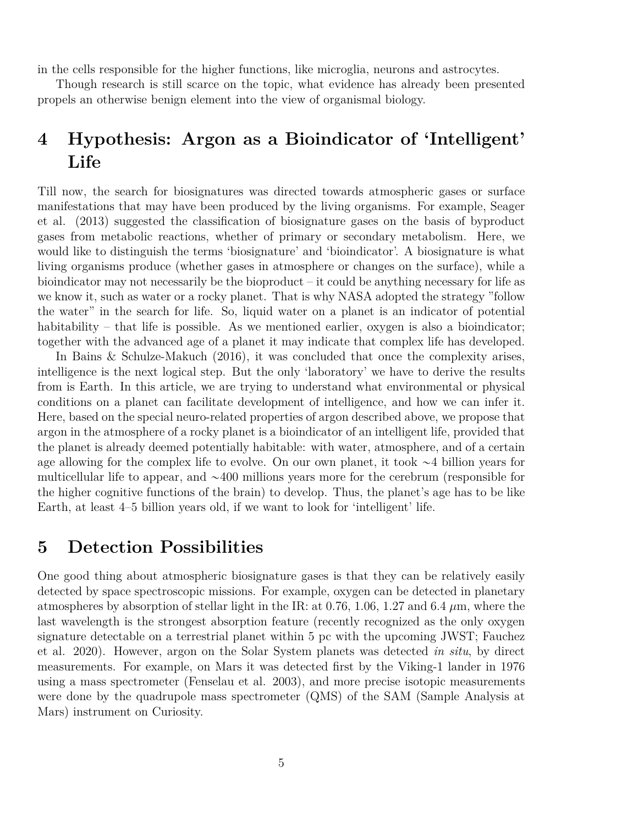in the cells responsible for the higher functions, like microglia, neurons and astrocytes.

Though research is still scarce on the topic, what evidence has already been presented propels an otherwise benign element into the view of organismal biology.

# **4 Hypothesis: Argon as a Bioindicator of 'Intelligent' Life**

Till now, the search for biosignatures was directed towards atmospheric gases or surface manifestations that may have been produced by the living organisms. For example, Seager et al. (2013) suggested the classification of biosignature gases on the basis of byproduct gases from metabolic reactions, whether of primary or secondary metabolism. Here, we would like to distinguish the terms 'biosignature' and 'bioindicator'. A biosignature is what living organisms produce (whether gases in atmosphere or changes on the surface), while a bioindicator may not necessarily be the bioproduct  $-$  it could be anything necessary for life as we know it, such as water or a rocky planet. That is why NASA adopted the strategy "follow the water" in the search for life. So, liquid water on a planet is an indicator of potential habitability – that life is possible. As we mentioned earlier, oxygen is also a bioindicator; together with the advanced age of a planet it may indicate that complex life has developed.

In Bains & Schulze-Makuch (2016), it was concluded that once the complexity arises, intelligence is the next logical step. But the only 'laboratory' we have to derive the results from is Earth. In this article, we are trying to understand what environmental or physical conditions on a planet can facilitate development of intelligence, and how we can infer it. Here, based on the special neuro-related properties of argon described above, we propose that argon in the atmosphere of a rocky planet is a bioindicator of an intelligent life, provided that the planet is already deemed potentially habitable: with water, atmosphere, and of a certain age allowing for the complex life to evolve. On our own planet, it took  $\sim$ 4 billion years for multicellular life to appear, and  $\sim$ 400 millions years more for the cerebrum (responsible for the higher cognitive functions of the brain) to develop. Thus, the planet's age has to be like Earth, at least 4–5 billion years old, if we want to look for 'intelligent' life.

#### **5 Detection Possibilities**

One good thing about atmospheric biosignature gases is that they can be relatively easily detected by space spectroscopic missions. For example, oxygen can be detected in planetary atmospheres by absorption of stellar light in the IR: at 0.76, 1.06, 1.27 and 6.4  $\mu$ m, where the last wavelength is the strongest absorption feature (recently recognized as the only oxygen signature detectable on a terrestrial planet within 5 pc with the upcoming JWST; Fauchez et al. 2020). However, argon on the Solar System planets was detected *in situ*, by direct measurements. For example, on Mars it was detected first by the Viking-1 lander in 1976 using a mass spectrometer (Fenselau et al. 2003), and more precise isotopic measurements were done by the quadrupole mass spectrometer (QMS) of the SAM (Sample Analysis at Mars) instrument on Curiosity.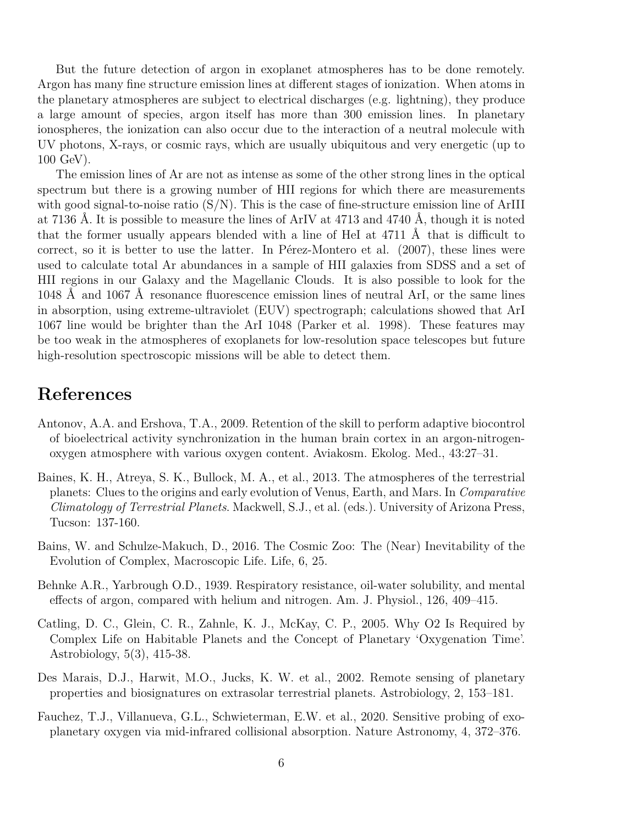But the future detection of argon in exoplanet atmospheres has to be done remotely. Argon has many fine structure emission lines at different stages of ionization. When atoms in the planetary atmospheres are subject to electrical discharges (e.g. lightning), they produce a large amount of species, argon itself has more than 300 emission lines. In planetary ionospheres, the ionization can also occur due to the interaction of a neutral molecule with UV photons, X-rays, or cosmic rays, which are usually ubiquitous and very energetic (up to 100 GeV).

The emission lines of Ar are not as intense as some of the other strong lines in the optical spectrum but there is a growing number of HII regions for which there are measurements with good signal-to-noise ratio  $(S/N)$ . This is the case of fine-structure emission line of ArIII at 7136 Å. It is possible to measure the lines of ArIV at  $4713$  and  $4740$  Å, though it is noted that the former usually appears blended with a line of HeI at  $4711 \text{ Å}$  that is difficult to correct, so it is better to use the latter. In Pérez-Montero et al.  $(2007)$ , these lines were used to calculate total Ar abundances in a sample of HII galaxies from SDSS and a set of HII regions in our Galaxy and the Magellanic Clouds. It is also possible to look for the 1048 Å and 1067 Å resonance fluorescence emission lines of neutral ArI, or the same lines in absorption, using extreme-ultraviolet (EUV) spectrograph; calculations showed that ArI 1067 line would be brighter than the ArI 1048 (Parker et al. 1998). These features may be too weak in the atmospheres of exoplanets for low-resolution space telescopes but future high-resolution spectroscopic missions will be able to detect them.

## **References**

- Antonov, A.A. and Ershova, T.A., 2009. Retention of the skill to perform adaptive biocontrol of bioelectrical activity synchronization in the human brain cortex in an argon-nitrogenoxygen atmosphere with various oxygen content. Aviakosm. Ekolog. Med., 43:27–31.
- <span id="page-5-1"></span>Baines, K. H., Atreya, S. K., Bullock, M. A., et al., 2013. The atmospheres of the terrestrial planets: Clues to the origins and early evolution of Venus, Earth, and Mars. In *Comparative Climatology of Terrestrial Planets*. Mackwell, S.J., et al. (eds.). University of Arizona Press, Tucson: 137-160.
- Bains, W. and Schulze-Makuch, D., 2016. The Cosmic Zoo: The (Near) Inevitability of the Evolution of Complex, Macroscopic Life. Life, 6, 25.
- Behnke A.R., Yarbrough O.D., 1939. Respiratory resistance, oil-water solubility, and mental effects of argon, compared with helium and nitrogen. Am. J. Physiol., 126, 409–415.
- <span id="page-5-0"></span>Catling, D. C., Glein, C. R., Zahnle, K. J., McKay, C. P., 2005. Why O2 Is Required by Complex Life on Habitable Planets and the Concept of Planetary 'Oxygenation Time'. Astrobiology, 5(3), 415-38.
- Des Marais, D.J., Harwit, M.O., Jucks, K. W. et al., 2002. Remote sensing of planetary properties and biosignatures on extrasolar terrestrial planets. Astrobiology, 2, 153–181.
- Fauchez, T.J., Villanueva, G.L., Schwieterman, E.W. et al., 2020. Sensitive probing of exoplanetary oxygen via mid-infrared collisional absorption. Nature Astronomy, 4, 372–376.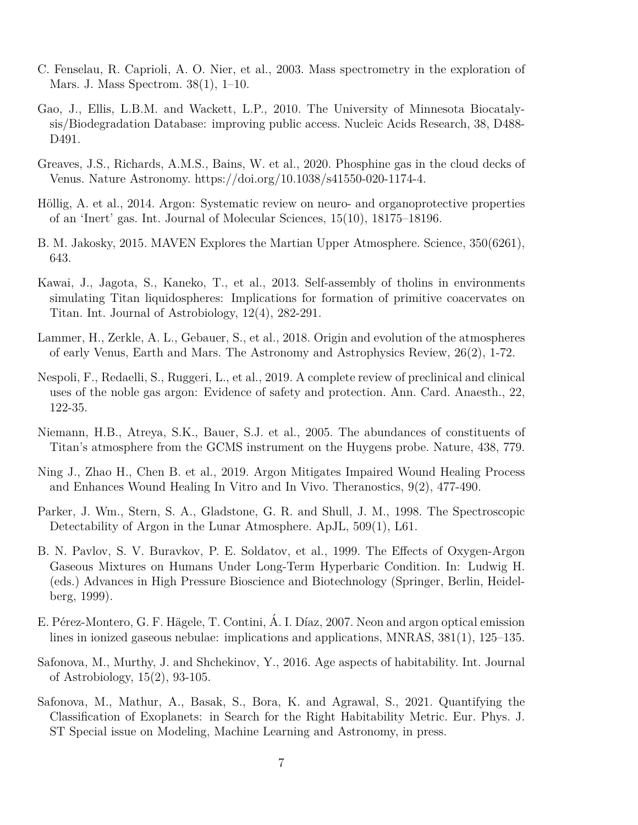- C. Fenselau, R. Caprioli, A. O. Nier, et al., 2003. Mass spectrometry in the exploration of Mars. J. Mass Spectrom. 38(1), 1–10.
- Gao, J., Ellis, L.B.M. and Wackett, L.P., 2010. The University of Minnesota Biocatalysis/Biodegradation Database: improving public access. Nucleic Acids Research, 38, D488- D491.
- <span id="page-6-0"></span>Greaves, J.S., Richards, A.M.S., Bains, W. et al., 2020. Phosphine gas in the cloud decks of Venus. Nature Astronomy. https://doi.org/10.1038/s41550-020-1174-4.
- Höllig, A. et al., 2014. Argon: Systematic review on neuro- and organoprotective properties of an 'Inert' gas. Int. Journal of Molecular Sciences, 15(10), 18175–18196.
- B. M. Jakosky, 2015. MAVEN Explores the Martian Upper Atmosphere. Science, 350(6261), 643.
- Kawai, J., Jagota, S., Kaneko, T., et al., 2013. Self-assembly of tholins in environments simulating Titan liquidospheres: Implications for formation of primitive coacervates on Titan. Int. Journal of Astrobiology, 12(4), 282-291.
- <span id="page-6-1"></span>Lammer, H., Zerkle, A. L., Gebauer, S., et al., 2018. Origin and evolution of the atmospheres of early Venus, Earth and Mars. The Astronomy and Astrophysics Review, 26(2), 1-72.
- Nespoli, F., Redaelli, S., Ruggeri, L., et al., 2019. A complete review of preclinical and clinical uses of the noble gas argon: Evidence of safety and protection. Ann. Card. Anaesth., 22, 122-35.
- Niemann, H.B., Atreya, S.K., Bauer, S.J. et al., 2005. The abundances of constituents of Titan's atmosphere from the GCMS instrument on the Huygens probe. Nature, 438, 779.
- <span id="page-6-2"></span>Ning J., Zhao H., Chen B. et al., 2019. Argon Mitigates Impaired Wound Healing Process and Enhances Wound Healing In Vitro and In Vivo. Theranostics, 9(2), 477-490.
- Parker, J. Wm., Stern, S. A., Gladstone, G. R. and Shull, J. M., 1998. The Spectroscopic Detectability of Argon in the Lunar Atmosphere. ApJL, 509(1), L61.
- B. N. Pavlov, S. V. Buravkov, P. E. Soldatov, et al., 1999. The Effects of Oxygen-Argon Gaseous Mixtures on Humans Under Long-Term Hyperbaric Condition. In: Ludwig H. (eds.) Advances in High Pressure Bioscience and Biotechnology (Springer, Berlin, Heidelberg, 1999).
- E. Pérez-Montero, G. F. Hägele, T. Contini, Á. I. Díaz, 2007. Neon and argon optical emission lines in ionized gaseous nebulae: implications and applications, MNRAS, 381(1), 125–135.
- Safonova, M., Murthy, J. and Shchekinov, Y., 2016. Age aspects of habitability. Int. Journal of Astrobiology, 15(2), 93-105.
- Safonova, M., Mathur, A., Basak, S., Bora, K. and Agrawal, S., 2021. Quantifying the Classification of Exoplanets: in Search for the Right Habitability Metric. Eur. Phys. J. ST Special issue on Modeling, Machine Learning and Astronomy, in press.